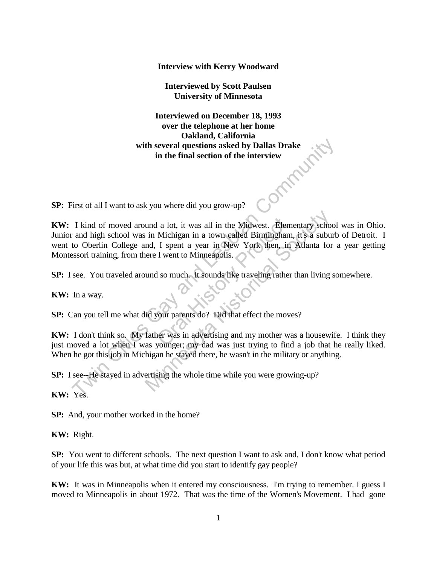**Interview with Kerry Woodward**

**Interviewed by Scott Paulsen University of Minnesota**

**Interviewed on December 18, 1993 over the telephone at her home Oakland, California**  with several questions asked by Dallas Drake<br>in the final section of the interview **in the final section of the interview**

**SP:** First of all I want to ask you where did you grow-up?

**KW:** I kind of moved around a lot, it was all in the Midwest. Elementary school was in Ohio. Junior and high school was in Michigan in a town called Birmingham, it's a suburb of Detroit. I went to Oberlin College and, I spent a year in New York then, in Atlanta for a year getting Montessori training, from there I went to Minneapolis. with several questions asked by Dallas Drake<br>
in the final section of the interview<br>
in the final section of the interview<br>
Trist of all I want to ask you where did you grow-up?<br>
I kind of moved around a lot, it was all in I a lot, it was all in the Midwest. Elem<br>Michigan in a town called Birmingham<br>I spent a year in New York then, in<br>I went to Minneapolis.<br><br>I so much. It sounds like traveling rather<br>our parents do? Did that effect the move<br> und a lot, it was all in the Midwest. Elementary schow in Michigan in a town called Birmingham, it's a subund, I spent a year in New York then, in Atlanta for there I went to Minneapolis.<br>
und so much. It sounds like trave

**SP:** I see. You traveled around so much. It sounds like traveling rather than living somewhere.

**KW:** In a way.

**SP:** Can you tell me what did your parents do? Did that effect the moves?

**KW:** I don't think so. My father was in advertising and my mother was a housewife. I think they just moved a lot when I was younger; my dad was just trying to find a job that he really liked. When he got this job in Michigan he stayed there, he wasn't in the military or anything.

**SP:** I see--He stayed in advertising the whole time while you were growing-up?

**KW:** Yes.

**SP:** And, your mother worked in the home?

**KW:** Right.

**SP:** You went to different schools. The next question I want to ask and, I don't know what period of your life this was but, at what time did you start to identify gay people?

**KW:** It was in Minneapolis when it entered my consciousness. I'm trying to remember. I guess I moved to Minneapolis in about 1972. That was the time of the Women's Movement. I had gone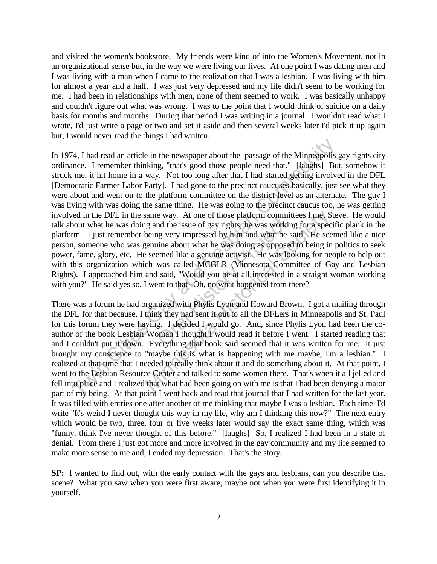and visited the women's bookstore. My friends were kind of into the Women's Movement, not in an organizational sense but, in the way we were living our lives. At one point I was dating men and I was living with a man when I came to the realization that I was a lesbian. I was living with him for almost a year and a half. I was just very depressed and my life didn't seem to be working for me. I had been in relationships with men, none of them seemed to work. I was basically unhappy and couldn't figure out what was wrong. I was to the point that I would think of suicide on a daily basis for months and months. During that period I was writing in a journal. I wouldn't read what I wrote, I'd just write a page or two and set it aside and then several weeks later I'd pick it up again but, I would never read the things I had written.

In 1974, I had read an article in the newspaper about the passage of the Minneapolis gay rights city ordinance. I remember thinking, "that's good those people need that." [laughs] But, somehow it struck me, it hit home in a way. Not too long after that I had started getting involved in the DFL [Democratic Farmer Labor Party]. I had gone to the precinct caucuses basically, just see what they were about and went on to the platform committee on the district level as an alternate. The guy I was living with was doing the same thing. He was going to the precinct caucus too, he was getting involved in the DFL in the same way. At one of those platform committees I met Steve. He would talk about what he was doing and the issue of gay rights, he was working for a specific plank in the platform. I just remember being very impressed by him and what he said. He seemed like a nice person, someone who was genuine about what he was doing as opposed to being in politics to seek power, fame, glory, etc. He seemed like a genuine activist. He was looking for people to help out with this organization which was called MCGLR (Minnesota Committee of Gay and Lesbian Rights). I approached him and said, "Would you be at all interested in a straight woman working with you?" He said yes so, I went to that--Oh, no what happened from there? <sup>14</sup>, I had read an article in the newspaper about the passage of the Minneapolis<br>nuce. I remember thinking, "that's good those people need that." [laughs] Bu<br>me, it hit home in a way. Not too long after that I had starte oral Historical Historical History<br>and the issue of gay rights, he was working very impressed by him and what he s<br>aine about what he was doing as opposed<br>eemed like a genuine activist. He was loot<br>was called MCGLR (Minnes

There was a forum he had organized with Phylis Lyon and Howard Brown. I got a mailing through the DFL for that because, I think they had sent it out to all the DFLers in Minneapolis and St. Paul for this forum they were having. I decided I would go. And, since Phylis Lyon had been the coauthor of the book Lesbian Woman I thought I would read it before I went. I started reading that and I couldn't put it down. Everything that book said seemed that it was written for me. It just brought my conscience to "maybe this is what is happening with me maybe, I'm a lesbian." I realized at that time that I needed to really think about it and do something about it. At that point, I went to the Lesbian Resource Center and talked to some women there. That's when it all jelled and fell into place and I realized that what had been going on with me is that I had been denying a major part of my being. At that point I went back and read that journal that I had written for the last year. It was filled with entries one after another of me thinking that maybe I was a lesbian. Each time I'd write "It's weird I never thought this way in my life, why am I thinking this now?" The next entry which would be two, three, four or five weeks later would say the exact same thing, which was "funny, think I've never thought of this before." [laughs] So, I realized I had been in a state of denial. From there I just got more and more involved in the gay community and my life seemed to make more sense to me and, I ended my depression. That's the story. same way. At one of those platform committees I met S<br>g and the issue of gay rights, he was working for a spec<br>being very impressed by him and what he said. He see<br>genuine about what he was doing as opposed to being in<br>see

**SP:** I wanted to find out, with the early contact with the gays and lesbians, can you describe that scene? What you saw when you were first aware, maybe not when you were first identifying it in yourself.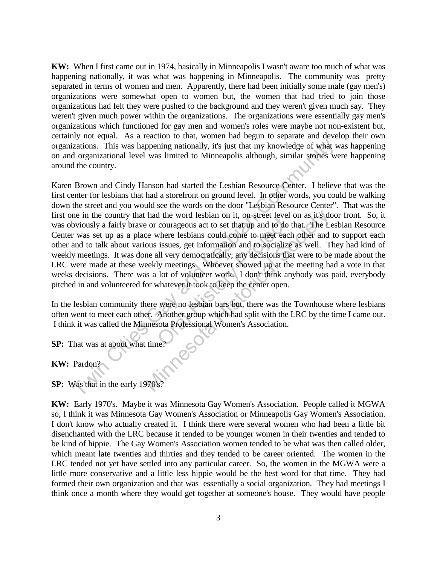**KW:** When I first came out in 1974, basically in Minneapolis I wasn't aware too much of what was happening nationally, it was what was happening in Minneapolis. The community was pretty separated in terms of women and men. Apparently, there had been initially some male (gay men's) organizations were somewhat open to women but, the women that had tried to join those organizations had felt they were pushed to the background and they weren't given much say. They weren't given much power within the organizations. The organizations were essentially gay men's organizations which functioned for gay men and women's roles were maybe not non-existent but, certainly not equal. As a reaction to that, women had begun to separate and develop their own organizations. This was happening nationally, it's just that my knowledge of what was happening on and organizational level was limited to Minneapolis although, similar stories were happening around the country.

Karen Brown and Cindy Hanson had started the Lesbian Resource Center. I believe that was the first center for lesbians that had a storefront on ground level. In other words, you could be walking down the street and you would see the words on the door "Lesbian Resource Center". That was the first one in the country that had the word lesbian on it, on street level on as it's door front. So, it was obviously a fairly brave or courageous act to set that up and to do that. The Lesbian Resource Center was set up as a place where lesbians could come to meet each other and to support each other and to talk about various issues, get information and to socialize as well. They had kind of weekly meetings. It was done all very democratically; any decisions that were to be made about the LRC were made at these weekly meetings. Whoever showed up at the meeting had a vote in that weeks decisions. There was a lot of volunteer work. I don't think anybody was paid, everybody pitched in and volunteered for whatever it took to keep the center open. izations. This was happening nationally, it's just that my knowledge of what variations. This was happening nationally, it's just that my knowledge of what do reganizational level was limited to Minneapolis although, simil The word resolation is, on situative courageous act to set that up and to do twhere lesbians could come to meet each issues, get information and to socialize all very democratically; any decisions that ly meetings. Whoever I had the word lesbian on it, on street level on as it's does the correct contraction and to do that. The Level contered contered to meet each other and ous issues, get information and to socialize as well. The all very de

In the lesbian community there were no lesbian bars but, there was the Townhouse where lesbians often went to meet each other. Another group which had split with the LRC by the time I came out. I think it was called the Minnesota Professional Women's Association.

**SP:** That was at about what time?

**KW:** Pardon?

**SP:** Was that in the early 1970's?

**KW:** Early 1970's. Maybe it was Minnesota Gay Women's Association. People called it MGWA so, I think it was Minnesota Gay Women's Association or Minneapolis Gay Women's Association. I don't know who actually created it. I think there were several women who had been a little bit disenchanted with the LRC because it tended to be younger women in their twenties and tended to be kind of hippie. The Gay Women's Association women tended to be what was then called older, which meant late twenties and thirties and they tended to be career oriented. The women in the LRC tended not yet have settled into any particular career. So, the women in the MGWA were a little more conservative and a little less hippie would be the best word for that time. They had formed their own organization and that was essentially a social organization. They had meetings I think once a month where they would get together at someone's house. They would have people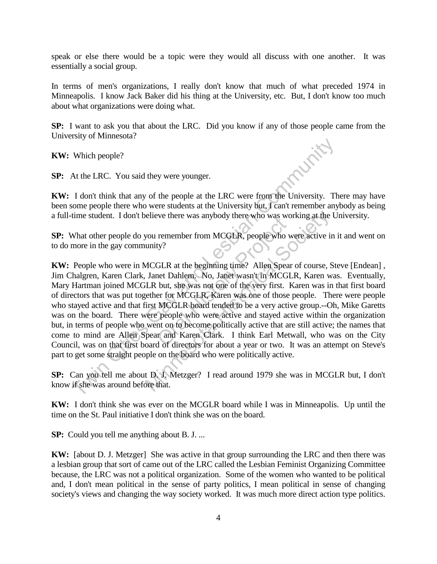speak or else there would be a topic were they would all discuss with one another. It was essentially a social group.

In terms of men's organizations, I really don't know that much of what preceded 1974 in Minneapolis. I know Jack Baker did his thing at the University, etc. But, I don't know too much about what organizations were doing what.

**SP:** I want to ask you that about the LRC. Did you know if any of those people came from the University of Minnesota?<br> **KW:** Which people?<br> **SP:** At the LRC. You said they were you University of Minnesota?

**KW:** Which people?

**SP:** At the LRC. You said they were younger.

**KW:** I don't think that any of the people at the LRC were from the University. There may have been some people there who were students at the University but, I can't remember anybody as being a full-time student. I don't believe there was anybody there who was working at the University.

**SP:** What other people do you remember from MCGLR, people who were active in it and went on to do more in the gay community?

**KW:** People who were in MCGLR at the beginning time? Allen Spear of course, Steve [Endean] , Jim Chalgren, Karen Clark, Janet Dahlem. No, Janet wasn't in MCGLR, Karen was. Eventually, Mary Hartman joined MCGLR but, she was not one of the very first. Karen was in that first board of directors that was put together for MCGLR, Karen was one of those people. There were people who stayed active and that first MCGLR board tended to be a very active group.--Oh, Mike Garetts was on the board. There were people who were active and stayed active within the organization but, in terms of people who went on to become politically active that are still active; the names that come to mind are Allen Spear and Karen Clark. I think Earl Metwall, who was on the City Council, was on that first board of directors for about a year or two. It was an attempt on Steve's part to get some straight people on the board who were politically active. Which people?<br>
At the LRC. You said they were younger.<br>
1 don't think that any of the people at the LRC were from the University. The<br>
1 don't think that any of the people at the LRC were from the University. The<br>
time st From MCGLR, people who was word<br>remember from MCGLR, people who w<br>ty?<br>GLR at the beginning time? Allen Spear<br>net Dahlem. No, Janet wasn't in MCGL<br>but, she was not one of the very first. For for MCGLR, Karen was one of thos believe there was anybody there who was working at the<br>you remember from MCGLR, people who were active in<br>unity?<br>MCGLR at the beginning time? Allen Spear of course, S<br>Janet Dahlem. No, Janet wasn't in MCGLR, Karen was in<br>E

**SP:** Can you tell me about D. J. Metzger? I read around 1979 she was in MCGLR but, I don't know if she was around before that.

**KW:** I don't think she was ever on the MCGLR board while I was in Minneapolis. Up until the time on the St. Paul initiative I don't think she was on the board.

**SP:** Could you tell me anything about B. J. ...

**KW:** [about D. J. Metzger] She was active in that group surrounding the LRC and then there was a lesbian group that sort of came out of the LRC called the Lesbian Feminist Organizing Committee because, the LRC was not a political organization. Some of the women who wanted to be political and, I don't mean political in the sense of party politics, I mean political in sense of changing society's views and changing the way society worked. It was much more direct action type politics.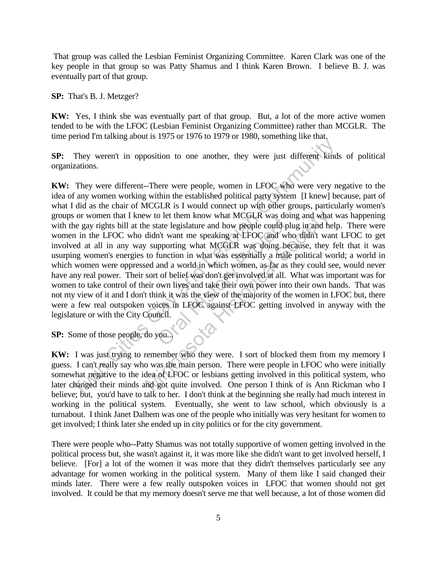That group was called the Lesbian Feminist Organizing Committee. Karen Clark was one of the key people in that group so was Patty Shamus and I think Karen Brown. I believe B. J. was eventually part of that group.

**SP:** That's B. J. Metzger?

**KW:** Yes, I think she was eventually part of that group. But, a lot of the more active women tended to be with the LFOC (Lesbian Feminist Organizing Committee) rather than MCGLR. The time period I'm talking about is 1975 or 1976 to 1979 or 1980, something like that.

**SP:** They weren't in opposition to one another, they were just different kinds of political organizations.

**KW:** They were different--There were people, women in LFOC who were very negative to the idea of any women working within the established political party system [I knew] because, part of what I did as the chair of MCGLR is I would connect up with other groups, particularly women's groups or women that I knew to let them know what MCGLR was doing and what was happening with the gay rights bill at the state legislature and how people could plug in and help. There were women in the LFOC who didn't want me speaking at LFOC and who didn't want LFOC to get involved at all in any way supporting what MCGLR was doing because, they felt that it was usurping women's energies to function in what was essentially a male political world; a world in which women were oppressed and a world in which women, as far as they could see, would never have any real power. Their sort of belief was don't get involved at all. What was important was for women to take control of their own lives and take their own power into their own hands. That was not my view of it and I don't think it was the view of the majority of the women in LFOC but, there were a few real outspoken voices in LFOC against LFOC getting involved in anyway with the legislature or with the City Council. They werent in opposite The exercy of the state of the state of the state of the state of the state of any women in LFOC who were very n fany women working within the established political party system [I knew] be and did of the legislature and how people could plus that the legislature and how people could plus that the speaking at LFOC and wh upporting what MCGLR was doing been function in what was essentially a male and a world in which w to let them know what MCGLR was doing and what<br>e state legislature and how people could plug in and he<br>didn't want me speaking at LFOC and who didn't wan<br>v supporting what MCGLR was doing because, they<br>to function in wha

**SP:** Some of those people, do you...

**KW:** I was just trying to remember who they were. I sort of blocked them from my memory I guess. I can't really say who was the main person. There were people in LFOC who were initially somewhat negative to the idea of LFOC or lesbians getting involved in this political system, who later changed their minds and got quite involved. One person I think of is Ann Rickman who I believe; but, you'd have to talk to her. I don't think at the beginning she really had much interest in working in the political system. Eventually, she went to law school, which obviously is a turnabout. I think Janet Dalhem was one of the people who initially was very hesitant for women to get involved; I think later she ended up in city politics or for the city government.

There were people who--Patty Shamus was not totally supportive of women getting involved in the political process but, she wasn't against it, it was more like she didn't want to get involved herself, I believe. [For] a lot of the women it was more that they didn't themselves particularly see any advantage for women working in the political system. Many of them like I said changed their minds later. There were a few really outspoken voices in LFOC that women should not get involved. It could be that my memory doesn't serve me that well because, a lot of those women did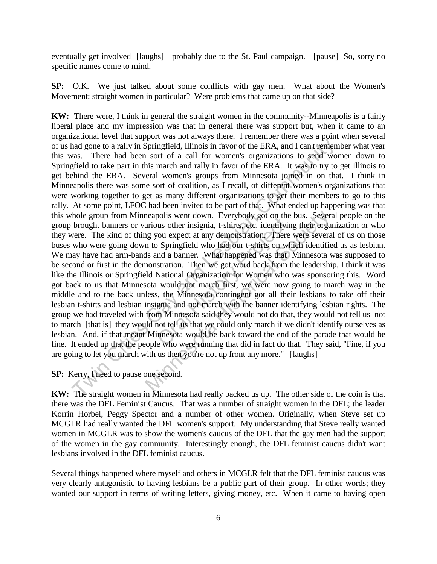eventually get involved [laughs] probably due to the St. Paul campaign. [pause] So, sorry no specific names come to mind.

**SP:** O.K. We just talked about some conflicts with gay men. What about the Women's Movement; straight women in particular? Were problems that came up on that side?

**KW:** There were, I think in general the straight women in the community--Minneapolis is a fairly liberal place and my impression was that in general there was support but, when it came to an organizational level that support was not always there. I remember there was a point when several of us had gone to a rally in Springfield, Illinois in favor of the ERA, and I can't remember what year this was. There had been sort of a call for women's organizations to send women down to Springfield to take part in this march and rally in favor of the ERA. It was to try to get Illinois to get behind the ERA. Several women's groups from Minnesota joined in on that. I think in Minneapolis there was some sort of coalition, as I recall, of different women's organizations that were working together to get as many different organizations to get their members to go to this rally. At some point, LFOC had been invited to be part of that. What ended up happening was that this whole group from Minneapolis went down. Everybody got on the bus. Several people on the group brought banners or various other insignia, t-shirts, etc. identifying their organization or who they were. The kind of thing you expect at any demonstration. There were several of us on those buses who were going down to Springfield who had our t-shirts on which identified us as lesbian. We may have had arm-bands and a banner. What happened was that Minnesota was supposed to be second or first in the demonstration. Then we got word back from the leadership, I think it was like the Illinois or Springfield National Organization for Women who was sponsoring this. Word got back to us that Minnesota would not march first, we were now going to march way in the middle and to the back unless, the Minnesota contingent got all their lesbians to take off their lesbian t-shirts and lesbian insignia and not march with the banner identifying lesbian rights. The group we had traveled with from Minnesota said they would not do that, they would not tell us not to march [that is] they would not tell us that we could only march if we didn't identify ourselves as lesbian. And, if that meant Minnesota would be back toward the end of the parade that would be fine. It ended up that the people who were running that did in fact do that. They said, "Fine, if you are going to let you march with us then you're not up front any more." [laughs] and some to a rally in Springfield, Illinois in favor of the ERA, and I can't remem-<br>and gone to a rally in Springfield, Illinois in favor of the ERA, and I can't remem-<br>ass. There had been sort of a call for women's organ both which the same of the control of the same of the same of the spin and a banner. What happened was that stration. Then we got word back from the stration. Then we got word back from the stration. Then we got word back neapolis went down. Everybody got on the bus. Severations other insignia, t-shirts, etc. identifying their organ and you expect at any demonstration. There were severa not o Springfield who had our t-shirts on which identi

**SP:** Kerry, I need to pause one second.

**KW:** The straight women in Minnesota had really backed us up. The other side of the coin is that there was the DFL Feminist Caucus. That was a number of straight women in the DFL; the leader Korrin Horbel, Peggy Spector and a number of other women. Originally, when Steve set up MCGLR had really wanted the DFL women's support. My understanding that Steve really wanted women in MCGLR was to show the women's caucus of the DFL that the gay men had the support of the women in the gay community. Interestingly enough, the DFL feminist caucus didn't want lesbians involved in the DFL feminist caucus.

Several things happened where myself and others in MCGLR felt that the DFL feminist caucus was very clearly antagonistic to having lesbians be a public part of their group. In other words; they wanted our support in terms of writing letters, giving money, etc. When it came to having open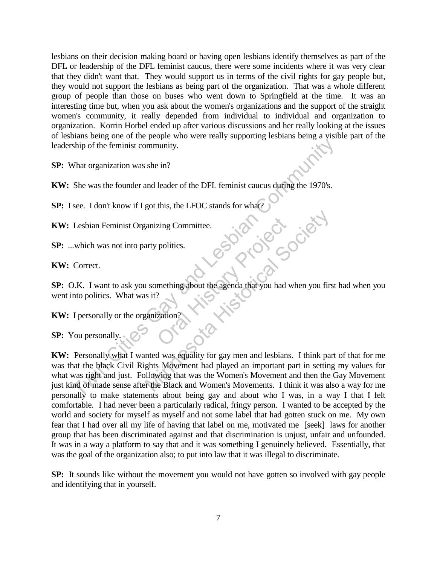lesbians on their decision making board or having open lesbians identify themselves as part of the DFL or leadership of the DFL feminist caucus, there were some incidents where it was very clear that they didn't want that. They would support us in terms of the civil rights for gay people but, they would not support the lesbians as being part of the organization. That was a whole different group of people than those on buses who went down to Springfield at the time. It was an interesting time but, when you ask about the women's organizations and the support of the straight women's community, it really depended from individual to individual and organization to organization. Korrin Horbel ended up after various discussions and her really looking at the issues of lesbians being one of the people who were really supporting lesbians being a visible part of the leadership of the feminist community.

**SP:** What organization was she in?

**KW:** She was the founder and leader of the DFL feminist caucus during the 1970's.

**SP:** I see. I don't know if I got this, the LFOC stands for what?

**KW:** Lesbian Feminist Organizing Committee.

**SP:** ...which was not into party politics.

**KW:** Correct.

**SP:** O.K. I want to ask you something about the agenda that you had when you first had when you went into politics. What was it? Politics.<br>
politics.<br>
mething about the agenda that you had w<br>
<br>
Pation?

**KW:** I personally or the organization?

**SP:** You personally.

**KW:** Personally what I wanted was equality for gay men and lesbians. I think part of that for me was that the black Civil Rights Movement had played an important part in setting my values for what was right and just. Following that was the Women's Movement and then the Gay Movement just kind of made sense after the Black and Women's Movements. I think it was also a way for me personally to make statements about being gay and about who I was, in a way I that I felt comfortable. I had never been a particularly radical, fringy person. I wanted to be accepted by the world and society for myself as myself and not some label that had gotten stuck on me. My own fear that I had over all my life of having that label on me, motivated me [seek] laws for another group that has been discriminated against and that discrimination is unjust, unfair and unfounded. It was in a way a platform to say that and it was something I genuinely believed. Essentially, that was the goal of the organization also; to put into law that it was illegal to discriminate. She was the foundation was she in:<br>
She was the foundation was she in?<br>
She was the foundation was she in?<br>
She was the foundation with I got this, the LFOC stands for what?<br>
Lesbian Feminist Organizing Committee.<br>
.which Example 1 and the Society of the Society of the American Society of the American Society of the Society of the Society of the Society of the Society of the Society of the Society of the Society of the Society of the Societ

**SP:** It sounds like without the movement you would not have gotten so involved with gay people and identifying that in yourself.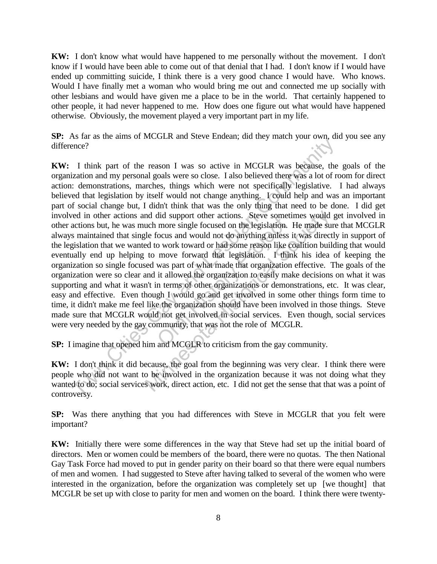**KW:** I don't know what would have happened to me personally without the movement. I don't know if I would have been able to come out of that denial that I had. I don't know if I would have ended up committing suicide, I think there is a very good chance I would have. Who knows. Would I have finally met a woman who would bring me out and connected me up socially with other lesbians and would have given me a place to be in the world. That certainly happened to other people, it had never happened to me. How does one figure out what would have happened otherwise. Obviously, the movement played a very important part in my life.

**SP:** As far as the aims of MCGLR and Steve Endean; did they match your own, did you see any difference?

**KW:** I think part of the reason I was so active in MCGLR was because, the goals of the organization and my personal goals were so close. I also believed there was a lot of room for direct action: demonstrations, marches, things which were not specifically legislative. I had always believed that legislation by itself would not change anything. I could help and was an important part of social change but, I didn't think that was the only thing that need to be done. I did get involved in other actions and did support other actions. Steve sometimes would get involved in other actions but, he was much more single focused on the legislation. He made sure that MCGLR always maintained that single focus and would not do anything unless it was directly in support of the legislation that we wanted to work toward or had some reason like coalition building that would eventually end up helping to move forward that legislation. I think his idea of keeping the organization so single focused was part of what made that organization effective. The goals of the organization were so clear and it allowed the organization to easily make decisions on what it was supporting and what it wasn't in terms of other organizations or demonstrations, etc. It was clear, easy and effective. Even though I would go and get involved in some other things form time to time, it didn't make me feel like the organization should have been involved in those things. Steve made sure that MCGLR would not get involved in social services. Even though, social services were very needed by the gay community, that was not the role of MCGLR. Ence?<br>
Think part of the reason I was so active in MCGLR was because, the<br>
race?<br>
Think part of the reason I was so active in MCGLR was because, the<br>
raciation and my personal goals were so close. I also believed there was and support official actions. Since solidation<br>more single focused on the legislation.<br>Socus and would not do anything unless is<br>o work toward or had some reason like c<br>move forward that legislation. I thin<br>was part of wha and did support other actions. Steve sometimes would<br>uch more single focused on the legislation. He made su<br>gle focus and would not do anything unless it was direct<br>ed to work toward or had some reason like coalition buil<br>

**SP:** I imagine that opened him and MCGLR to criticism from the gay community.

**KW:** I don't think it did because, the goal from the beginning was very clear. I think there were people who did not want to be involved in the organization because it was not doing what they wanted to do; social services work, direct action, etc. I did not get the sense that that was a point of controversy.

**SP:** Was there anything that you had differences with Steve in MCGLR that you felt were important?

**KW:** Initially there were some differences in the way that Steve had set up the initial board of directors. Men or women could be members of the board, there were no quotas. The then National Gay Task Force had moved to put in gender parity on their board so that there were equal numbers of men and women. I had suggested to Steve after having talked to several of the women who were interested in the organization, before the organization was completely set up [we thought] that MCGLR be set up with close to parity for men and women on the board. I think there were twenty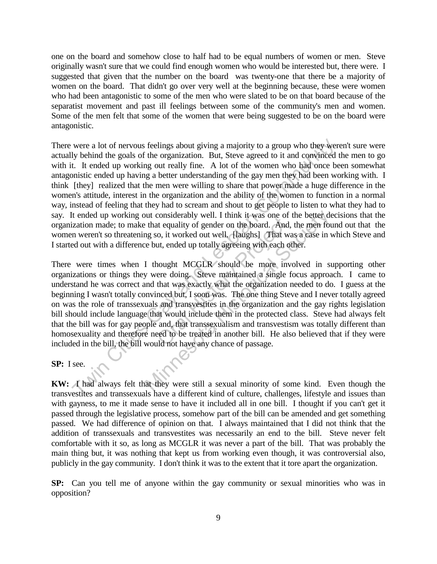one on the board and somehow close to half had to be equal numbers of women or men. Steve originally wasn't sure that we could find enough women who would be interested but, there were. I suggested that given that the number on the board was twenty-one that there be a majority of women on the board. That didn't go over very well at the beginning because, these were women who had been antagonistic to some of the men who were slated to be on that board because of the separatist movement and past ill feelings between some of the community's men and women. Some of the men felt that some of the women that were being suggested to be on the board were antagonistic.

There were a lot of nervous feelings about giving a majority to a group who they weren't sure were actually behind the goals of the organization. But, Steve agreed to it and convinced the men to go with it. It ended up working out really fine. A lot of the women who had once been somewhat antagonistic ended up having a better understanding of the gay men they had been working with. I think [they] realized that the men were willing to share that power made a huge difference in the women's attitude, interest in the organization and the ability of the women to function in a normal way, instead of feeling that they had to scream and shout to get people to listen to what they had to say. It ended up working out considerably well. I think it was one of the better decisions that the organization made; to make that equality of gender on the board. And, the men found out that the women weren't so threatening so, it worked out well. [laughs] That was a case in which Steve and I started out with a difference but, ended up totally agreeing with each other. were a lot of nervous feelings about giving a majority to a group who they wer<br>by behind the goals of the organization. But, Steve agreed to it and convinced the<br>t. It ended up vorking out really fine. A lot of the women

There were times when I thought MCGLR should be more involved in supporting other organizations or things they were doing. Steve maintained a single focus approach. I came to understand he was correct and that was exactly what the organization needed to do. I guess at the beginning I wasn't totally convinced but, I soon was. The one thing Steve and I never totally agreed on was the role of transsexuals and transvestites in the organization and the gay rights legislation bill should include language that would include them in the protected class. Steve had always felt that the bill was for gay people and, that transsexualism and transvestism was totally different than homosexuality and therefore need to be treated in another bill. He also believed that if they were included in the bill, the bill would not have any chance of passage. oral Historical Historical Historical Historical And, o, it worked out well, [laughs] That wat, ended up totally agreeing with each of nought MCGLR should be more inverse doing. Steve maintained a single f that was exactly but considerably well. I think it was one of the better de that equality of gender on the board. And, the men four as a case in vertex of the solution of gender on the board. And, the men four as a case in vertex but, ende

**SP:** I see.

**KW:** I had always felt that they were still a sexual minority of some kind. Even though the transvestites and transsexuals have a different kind of culture, challenges, lifestyle and issues than with gayness, to me it made sense to have it included all in one bill. I thought if you can't get it passed through the legislative process, somehow part of the bill can be amended and get something passed. We had difference of opinion on that. I always maintained that I did not think that the addition of transsexuals and transvestites was necessarily an end to the bill. Steve never felt comfortable with it so, as long as MCGLR it was never a part of the bill. That was probably the main thing but, it was nothing that kept us from working even though, it was controversial also, publicly in the gay community. I don't think it was to the extent that it tore apart the organization.

**SP:** Can you tell me of anyone within the gay community or sexual minorities who was in opposition?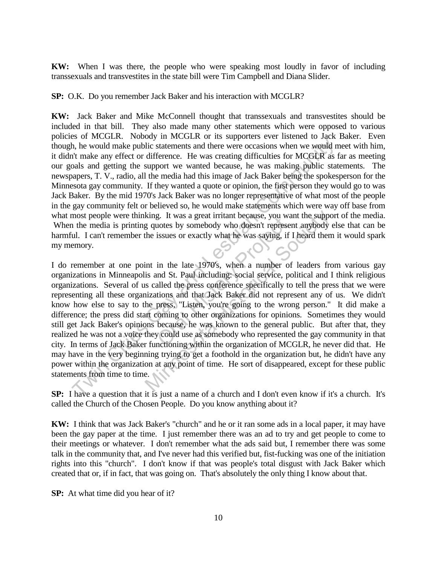**KW:** When I was there, the people who were speaking most loudly in favor of including transsexuals and transvestites in the state bill were Tim Campbell and Diana Slider.

**SP:** O.K. Do you remember Jack Baker and his interaction with MCGLR?

**KW:** Jack Baker and Mike McConnell thought that transsexuals and transvestites should be included in that bill. They also made many other statements which were opposed to various policies of MCGLR. Nobody in MCGLR or its supporters ever listened to Jack Baker. Even though, he would make public statements and there were occasions when we would meet with him, it didn't make any effect or difference. He was creating difficulties for MCGLR as far as meeting our goals and getting the support we wanted because, he was making public statements. The newspapers, T. V., radio, all the media had this image of Jack Baker being the spokesperson for the Minnesota gay community. If they wanted a quote or opinion, the first person they would go to was Jack Baker. By the mid 1970's Jack Baker was no longer representative of what most of the people in the gay community felt or believed so, he would make statements which were way off base from what most people were thinking. It was a great irritant because, you want the support of the media. When the media is printing quotes by somebody who doesn't represent anybody else that can be harmful. I can't remember the issues or exactly what he was saying, if I heard them it would spark my memory.

I do remember at one point in the late 1970's, when a number of leaders from various gay organizations in Minneapolis and St. Paul including: social service, political and I think religious organizations. Several of us called the press conference specifically to tell the press that we were representing all these organizations and that Jack Baker did not represent any of us. We didn't know how else to say to the press, "Listen, you're going to the wrong person." It did make a difference; the press did start coming to other organizations for opinions. Sometimes they would still get Jack Baker's opinions because, he was known to the general public. But after that, they realized he was not a voice they could use as somebody who represented the gay community in that city. In terms of Jack Baker functioning within the organization of MCGLR, he never did that. He may have in the very beginning trying to get a foothold in the organization but, he didn't have any power within the organization at any point of time. He sort of disappeared, except for these public statements from time to time. by a realization of the means of the set all the set all the set all the set all the set all the media and get and getting the support we would in the word comparison. It was creating difficulties for MCGLR as fagners, T. g. It was a great final because, you wanted by somebody who doesn't represent<br>issues or exactly what he was saying, if<br>in the late 1970's, when a number of<br>ind St. Paul including: social service, po<br>alled the press confere king. It was a great irritant because, you want the supportune supportively who doesn't represent anybody where issues or exactly what he was saying, if I heard then int in the late 1970's, when a number of leaders from is

**SP:** I have a question that it is just a name of a church and I don't even know if it's a church. It's called the Church of the Chosen People. Do you know anything about it?

**KW:** I think that was Jack Baker's "church" and he or it ran some ads in a local paper, it may have been the gay paper at the time. I just remember there was an ad to try and get people to come to their meetings or whatever. I don't remember what the ads said but, I remember there was some talk in the community that, and I've never had this verified but, fist-fucking was one of the initiation rights into this "church". I don't know if that was people's total disgust with Jack Baker which created that or, if in fact, that was going on. That's absolutely the only thing I know about that.

**SP:** At what time did you hear of it?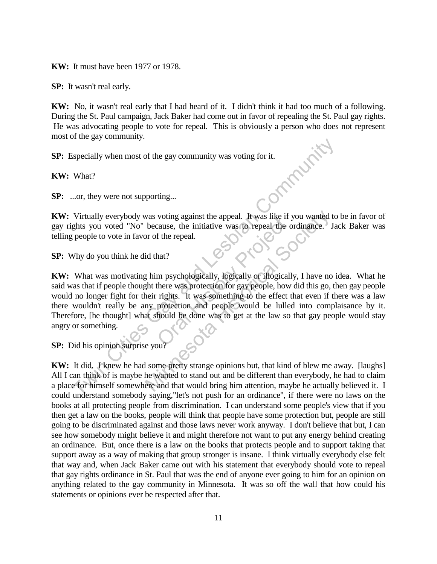**KW:** It must have been 1977 or 1978.

**SP:** It wasn't real early.

**KW:** No, it wasn't real early that I had heard of it. I didn't think it had too much of a following. During the St. Paul campaign, Jack Baker had come out in favor of repealing the St. Paul gay rights. He was advocating people to vote for repeal. This is obviously a person who does not represent most of the gay community was voting for it.<br> **KW:** What?<br> **SP:** ...or, they were not most of the gay community.

**SP:** Especially when most of the gay community was voting for it.

**KW:** What?

**SP:** ...or, they were not supporting...

**KW:** Virtually everybody was voting against the appeal. It was like if you wanted to be in favor of gay rights you voted "No" because, the initiative was to repeal the ordinance. Jack Baker was telling people to vote in favor of the repeal.

**SP:** Why do you think he did that?

**KW:** What was motivating him psychologically, logically or illogically, I have no idea. What he said was that if people thought there was protection for gay people, how did this go, then gay people would no longer fight for their rights. It was something to the effect that even if there was a law there wouldn't really be any protection and people would be lulled into complaisance by it. Therefore, [he thought] what should be done was to get at the law so that gay people would stay angry or something. The sum of the gay community was voting for it.<br>
What?<br>
Contains and the gay community was voting for it.<br>
What?<br>
Contains and the gay community was voting for it.<br>
Virtually everybody was voting against the appeal. It was voting against the appear. It was like it is<br>cause, the initiative was to repeal the c<br>f the repeal.<br>hat?<br>m psychologically, logically or illogicall<br>there was protection for gay people, how<br>rights. It was something to the We vas voting against the appeal. It was like if you wanted<br>because, the initiative was to repeal the ordinance.<br>In or of the repeal.<br>Id that?<br>In proposicially, logically or illogically, I have no<br>ent there was protection

**SP:** Did his opinion surprise you?

**KW:** It did. I knew he had some pretty strange opinions but, that kind of blew me away. [laughs] All I can think of is maybe he wanted to stand out and be different than everybody, he had to claim a place for himself somewhere and that would bring him attention, maybe he actually believed it. I could understand somebody saying,"let's not push for an ordinance", if there were no laws on the books at all protecting people from discrimination. I can understand some people's view that if you then get a law on the books, people will think that people have some protection but, people are still going to be discriminated against and those laws never work anyway. I don't believe that but, I can see how somebody might believe it and might therefore not want to put any energy behind creating an ordinance. But, once there is a law on the books that protects people and to support taking that support away as a way of making that group stronger is insane. I think virtually everybody else felt that way and, when Jack Baker came out with his statement that everybody should vote to repeal that gay rights ordinance in St. Paul that was the end of anyone ever going to him for an opinion on anything related to the gay community in Minnesota. It was so off the wall that how could his statements or opinions ever be respected after that.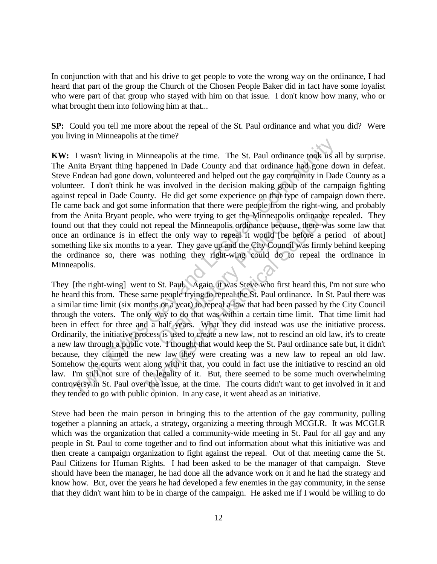In conjunction with that and his drive to get people to vote the wrong way on the ordinance, I had heard that part of the group the Church of the Chosen People Baker did in fact have some loyalist who were part of that group who stayed with him on that issue. I don't know how many, who or what brought them into following him at that...

**SP:** Could you tell me more about the repeal of the St. Paul ordinance and what you did? Were you living in Minneapolis at the time?

**KW:** I wasn't living in Minneapolis at the time. The St. Paul ordinance took us all by surprise. The Anita Bryant thing happened in Dade County and that ordinance had gone down in defeat. Steve Endean had gone down, volunteered and helped out the gay community in Dade County as a volunteer. I don't think he was involved in the decision making group of the campaign fighting against repeal in Dade County. He did get some experience on that type of campaign down there. He came back and got some information that there were people from the right-wing, and probably from the Anita Bryant people, who were trying to get the Minneapolis ordinance repealed. They found out that they could not repeal the Minneapolis ordinance because, there was some law that once an ordinance is in effect the only way to repeal it would [be before a period of about] something like six months to a year. They gave up and the City Council was firmly behind keeping the ordinance so, there was nothing they right-wing could do to repeal the ordinance in Minneapolis. I want living in Minneapolis at the time. The St. Paul ordinance took us a<br>Tukan Hyant living in Minneapolis at the time. The St. Paul ordinance took us a<br>Endean had gone down, volunteered and helped out the gay community

They [the right-wing] went to St. Paul. Again, it was Steve who first heard this, I'm not sure who he heard this from. These same people trying to repeal the St. Paul ordinance. In St. Paul there was a similar time limit (six months or a year) to repeal a law that had been passed by the City Council through the voters. The only way to do that was within a certain time limit. That time limit had been in effect for three and a half years. What they did instead was use the initiative process. Ordinarily, the initiative process is used to create a new law, not to rescind an old law, it's to create a new law through a public vote. I thought that would keep the St. Paul ordinance safe but, it didn't because, they claimed the new law they were creating was a new law to repeal an old law. Somehow the courts went along with it that, you could in fact use the initiative to rescind an old law. I'm still not sure of the legality of it. But, there seemed to be some much overwhelming controversy in St. Paul over the issue, at the time. The courts didn't want to get involved in it and they tended to go with public opinion. In any case, it went ahead as an initiative. who were trying to get the Minneapolis<br>repeal the Minneapolis ordinance because<br>t the only way to repeal it would [be<br>year. They gave up and the City Counci<br>nothing they right-wing could do to<br>to thing they right-wing coul ble, who were trying to get the Minneapolis ordinance<br>ot repeal the Minneapolis ordinance because, there was<br>fect the only way to repeal it would [be before a pe<br>o a year. They gave up and the City Council was firmly<br>was n

Steve had been the main person in bringing this to the attention of the gay community, pulling together a planning an attack, a strategy, organizing a meeting through MCGLR. It was MCGLR which was the organization that called a community-wide meeting in St. Paul for all gay and any people in St. Paul to come together and to find out information about what this initiative was and then create a campaign organization to fight against the repeal. Out of that meeting came the St. Paul Citizens for Human Rights. I had been asked to be the manager of that campaign. Steve should have been the manager, he had done all the advance work on it and he had the strategy and know how. But, over the years he had developed a few enemies in the gay community, in the sense that they didn't want him to be in charge of the campaign. He asked me if I would be willing to do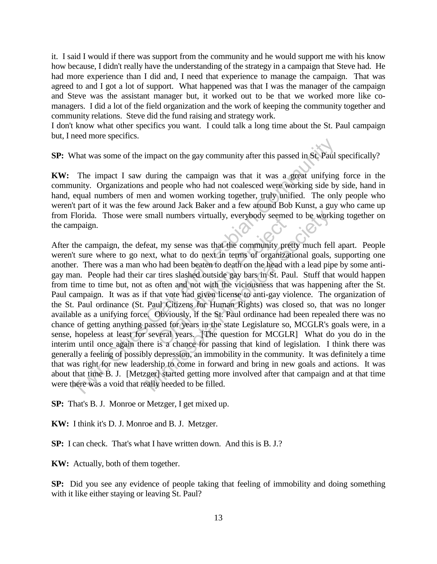it. I said I would if there was support from the community and he would support me with his know how because, I didn't really have the understanding of the strategy in a campaign that Steve had. He had more experience than I did and, I need that experience to manage the campaign. That was agreed to and I got a lot of support. What happened was that I was the manager of the campaign and Steve was the assistant manager but, it worked out to be that we worked more like comanagers. I did a lot of the field organization and the work of keeping the community together and community relations. Steve did the fund raising and strategy work.

I don't know what other specifics you want. I could talk a long time about the St. Paul campaign but, I need more specifics.

**SP:** What was some of the impact on the gay community after this passed in St. Paul specifically?

**KW:** The impact I saw during the campaign was that it was a great unifying force in the community. Organizations and people who had not coalesced were working side by side, hand in hand, equal numbers of men and women working together, truly unified. The only people who weren't part of it was the few around Jack Baker and a few around Bob Kunst, a guy who came up from Florida. Those were small numbers virtually, everybody seemed to be working together on the campaign.

After the campaign, the defeat, my sense was that the community pretty much fell apart. People weren't sure where to go next, what to do next in terms of organizational goals, supporting one another. There was a man who had been beaten to death on the head with a lead pipe by some antigay man. People had their car tires slashed outside gay bars in St. Paul. Stuff that would happen from time to time but, not as often and not with the viciousness that was happening after the St. Paul campaign. It was as if that vote had given license to anti-gay violence. The organization of the St. Paul ordinance (St. Paul Citizens for Human Rights) was closed so, that was no longer available as a unifying force. Obviously, if the St. Paul ordinance had been repealed there was no chance of getting anything passed for years in the state Legislature so, MCGLR's goals were, in a sense, hopeless at least for several years. [The question for MCGLR] What do you do in the interim until once again there is a chance for passing that kind of legislation. I think there was generally a feeling of possibly depression, an immobility in the community. It was definitely a time that was right for new leadership to come in forward and bring in new goals and actions. It was about that time B. J. [Metzger] started getting more involved after that campaign and at that time were there was a void that really needed to be filled. The impact of the impact on the gay community after this passed in Sc. Paul s<br>The impact I saw during the campaign was that it was a great unifying<br>unity. Organizations and people who had not coalesced were working side b In humbers virtually, everybody seemed<br>
, my sense was that the community pret<br>
, what to do next in terms of organizat<br>
had been beaten to death on the head wi<br>
tires slashed outside gay bars in St. Pau<br>
often and not wit small numbers virtually, everybody seemed to be work<br>feat, my sense was that the community pretty much fel<br>ext, what to do next in terms of organizational goals,<br>who had been beaten to death on the head with a lead pip<br>car

**SP:** That's B. J. Monroe or Metzger, I get mixed up.

**KW:** I think it's D. J. Monroe and B. J. Metzger.

**SP:** I can check. That's what I have written down. And this is B. J.?

**KW:** Actually, both of them together.

**SP:** Did you see any evidence of people taking that feeling of immobility and doing something with it like either staying or leaving St. Paul?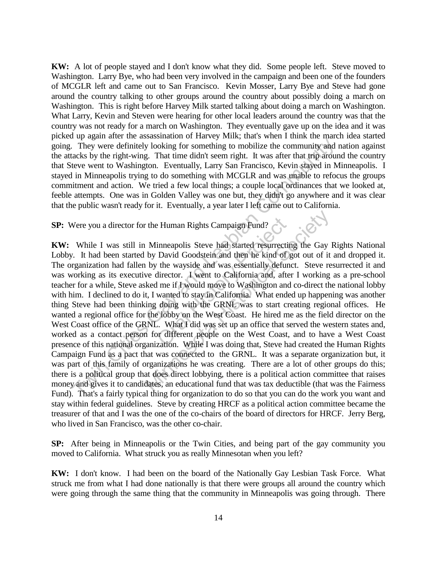**KW:** A lot of people stayed and I don't know what they did. Some people left. Steve moved to Washington. Larry Bye, who had been very involved in the campaign and been one of the founders of MCGLR left and came out to San Francisco. Kevin Mosser, Larry Bye and Steve had gone around the country talking to other groups around the country about possibly doing a march on Washington. This is right before Harvey Milk started talking about doing a march on Washington. What Larry, Kevin and Steven were hearing for other local leaders around the country was that the country was not ready for a march on Washington. They eventually gave up on the idea and it was picked up again after the assassination of Harvey Milk; that's when I think the march idea started going. They were definitely looking for something to mobilize the community and nation against the attacks by the right-wing. That time didn't seem right. It was after that trip around the country that Steve went to Washington. Eventually, Larry San Francisco, Kevin stayed in Minneapolis. I stayed in Minneapolis trying to do something with MCGLR and was unable to refocus the groups commitment and action. We tried a few local things; a couple local ordinances that we looked at, feeble attempts. One was in Golden Valley was one but, they didn't go anywhere and it was clear that the public wasn't ready for it. Eventually, a year later I left came out to California.

## **SP:** Were you a director for the Human Rights Campaign Fund?

**KW:** While I was still in Minneapolis Steve had started resurrecting the Gay Rights National Lobby. It had been started by David Goodstein and then he kind of got out of it and dropped it. The organization had fallen by the wayside and was essentially defunct. Steve resurrected it and was working as its executive director. I went to California and, after I working as a pre-school teacher for a while, Steve asked me if I would move to Washington and co-direct the national lobby with him. I declined to do it, I wanted to stay in California. What ended up happening was another thing Steve had been thinking doing with the GRNL was to start creating regional offices. He wanted a regional office for the lobby on the West Coast. He hired me as the field director on the West Coast office of the GRNL. What I did was set up an office that served the western states and, worked as a contact person for different people on the West Coast, and to have a West Coast presence of this national organization. While I was doing that, Steve had created the Human Rights Campaign Fund as a pact that was connected to the GRNL. It was a separate organization but, it was part of this family of organizations he was creating. There are a lot of other groups do this; there is a political group that does direct lobbying, there is a political action committee that raises money and gives it to candidates, an educational fund that was tax deductible (that was the Fairness Fund). That's a fairly typical thing for organization to do so that you can do the work you want and stay within federal guidelines. Steve by creating HRCF as a political action committee became the treasurer of that and I was the one of the co-chairs of the board of directors for HRCF. Jerry Berg, who lived in San Francisco, was the other co-chair. They were definitely looking for something to mobilize the community and acks by the right-wing. That time didn't seem right. It was after that trip around the teve went to Washington. Eventually, Larry San Francisco, Kev Exercise Human Rights Campaign Fund?<br>
inneapolis Steve had started resurrectin<br>
David Goodstein and then he kind of g<br>
the wayside and was essentially defund<br>
director. I went to California and, after<br>
I me if I would move The Human Rights Campaign Fund?<br>
Minneapolis Steve had started resurrecting the Gay by David Goodstein and then he kind of got out of it<br>
to by the wayside and was essentially defunct. Steve re<br>
we director. I went to Cali

**SP:** After being in Minneapolis or the Twin Cities, and being part of the gay community you moved to California. What struck you as really Minnesotan when you left?

**KW:** I don't know. I had been on the board of the Nationally Gay Lesbian Task Force. What struck me from what I had done nationally is that there were groups all around the country which were going through the same thing that the community in Minneapolis was going through. There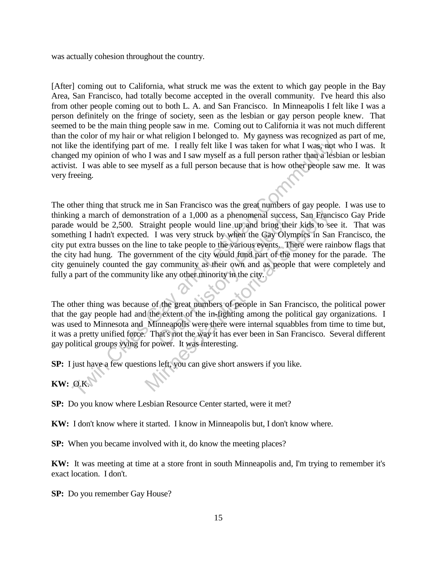was actually cohesion throughout the country.

[After] coming out to California, what struck me was the extent to which gay people in the Bay Area, San Francisco, had totally become accepted in the overall community. I've heard this also from other people coming out to both L. A. and San Francisco. In Minneapolis I felt like I was a person definitely on the fringe of society, seen as the lesbian or gay person people knew. That seemed to be the main thing people saw in me. Coming out to California it was not much different than the color of my hair or what religion I belonged to. My gayness was recognized as part of me, not like the identifying part of me. I really felt like I was taken for what I was, not who I was. It changed my opinion of who I was and I saw myself as a full person rather than a lesbian or lesbian activist. I was able to see myself as a full person because that is how other people saw me. It was very freeing.

The other thing that struck me in San Francisco was the great numbers of gay people. I was use to thinking a march of demonstration of a 1,000 as a phenomenal success, San Francisco Gay Pride parade would be 2,500. Straight people would line up and bring their kids to see it. That was something I hadn't expected. I was very struck by when the Gay Olympics in San Francisco, the city put extra busses on the line to take people to the various events. There were rainbow flags that the city had hung. The government of the city would fund part of the money for the parade. The city genuinely counted the gay community as their own and as people that were completely and fully a part of the community like any other minority in the city. is the intertion of most and a specifical gay of the state of the dentifying part of me. I really felt like I was taken for what I was, not ed my opinion of who I was and I saw myself as a full person rather than a lest to The proper would line up and bring the<br>ght people would line up and bring the<br>l was very struck by when the Gay Olyr<br>to take people to the various events. The<br>ment of the city would fund part of the<br>v community as their ow stration of a 1,000 as a phenomenal success, San Franchinal traight people would line up and bring their kids to sel. I was very struck by when the Gay Olympics in Saline to take people to the various events. There were ra

The other thing was because of the great numbers of people in San Francisco, the political power that the gay people had and the extent of the in-fighting among the political gay organizations. I was used to Minnesota and Minneapolis were there were internal squabbles from time to time but, it was a pretty unified force. That's not the way it has ever been in San Francisco. Several different gay political groups vying for power. It was interesting.

**SP:** I just have a few questions left, you can give short answers if you like.

**KW:** O.K.

**SP:** Do you know where Lesbian Resource Center started, were it met?

**KW:** I don't know where it started. I know in Minneapolis but, I don't know where.

**SP:** When you became involved with it, do know the meeting places?

**KW:** It was meeting at time at a store front in south Minneapolis and, I'm trying to remember it's exact location. I don't.

**SP:** Do you remember Gay House?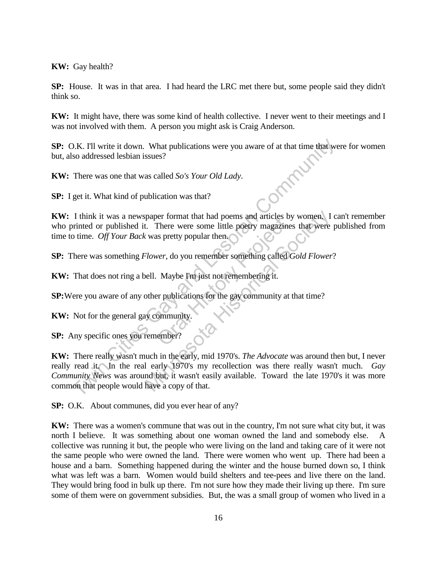**KW:** Gay health?

**SP:** House. It was in that area. I had heard the LRC met there but, some people said they didn't think so.

**KW:** It might have, there was some kind of health collective. I never went to their meetings and I was not involved with them. A person you might ask is Craig Anderson.

**SP:** O.K. I'll write it down. What publications were you aware of at that time that were for women but, also addressed lesbian issues?

**KW:** There was one that was called *So's Your Old Lady*.

**SP:** I get it. What kind of publication was that?

**KW:** I think it was a newspaper format that had poems and articles by women. I can't remember who printed or published it. There were some little poetry magazines that were published from time to time. *Off Your Back* was pretty popular then. Final that had poems and attices by<br>There were some little poetry magazine<br>is pretty popular then.<br>wer, do you remember something called C<br>Maybe I'm just not remembering it.<br>er publications for the gay community at informa

**SP:** There was something *Flower*, do you remember something called *Gold Flower*?

**KW:** That does not ring a bell. Maybe I'm just not remembering it.

**SP:**Were you aware of any other publications for the gay community at that time?

**KW:** Not for the general gay community.

**SP:** Any specific ones you remember?

**KW:** There really wasn't much in the early, mid 1970's. *The Advocate* was around then but, I never really read it. In the real early 1970's my recollection was there really wasn't much. *Gay Community News* was around but, it wasn't easily available. Toward the late 1970's it was more common that people would have a copy of that. The interior of any other publications were you aware of at that time that we so addressed lesbian issues?<br>
There was one that was called *So's Your Old Lady*.<br>
There was one that was called *So's Your Old Lady*.<br>
Think i paper format that had poems and articles by women. I<br>
t. There were some little poetry magazines that were<br> *Clower*, do you remember something called *Gold Flower*<br>
bell. Maybe I'm just not remembering it.<br>
other publicat

**SP:** O.K. About communes, did you ever hear of any?

**KW:** There was a women's commune that was out in the country, I'm not sure what city but, it was north I believe. It was something about one woman owned the land and somebody else. A collective was running it but, the people who were living on the land and taking care of it were not the same people who were owned the land. There were women who went up. There had been a house and a barn. Something happened during the winter and the house burned down so, I think what was left was a barn. Women would build shelters and tee-pees and live there on the land. They would bring food in bulk up there. I'm not sure how they made their living up there. I'm sure some of them were on government subsidies. But, the was a small group of women who lived in a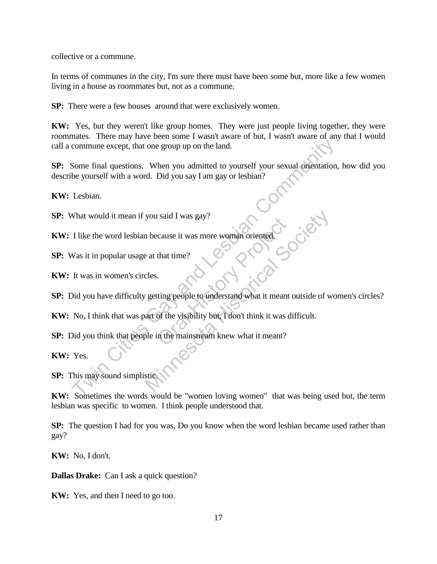collective or a commune.

In terms of communes in the city, I'm sure there must have been some but, more like a few women living in a house as roommates but, not as a commune.

**SP:** There were a few houses around that were exclusively women.

**KW:** Yes, but they weren't like group homes. They were just people living together, they were roommates. There may have been some I wasn't aware of but, I wasn't aware of any that I would call a commune except, that one group up on the land.

**SP:** Some final questions. When you admitted to yourself your sexual orientation, how did you describe yourself with a word. Did you say I am gay or lesbian? Example except, that one group up on the land.<br>
Some final questions. When you admitted to yourself your sexual orientation,<br>
be yourself with a word. Did you say I am gay or lesbian?<br>
Lesbian.<br>
Unkt would it mean if you s

**KW:** Lesbian.

**SP:** What would it mean if you said I was gay?

**KW:** I like the word lesbian because it was more woman oriented.<br>SP: Was it in popular usage at the trace of the set of the set of the set of the set of the set of the set of the set of the set of the set of the set of th

**SP:** Was it in popular usage at that time?

**KW:** It was in women's circles.

**SP:** Did you have difficulty getting people to understand what it meant outside of women's circles? The Said T was gay!<br>
Croate it was more woman oriented.<br>
that time?<br>
That time?<br>
Consider that time?<br>
Consider the visibility but, I don't think it was due to the visibility but, I don't think it was due<br>
tin the mainstrea you said I was gay?<br>
a that time?<br>
e at that time?<br>
cles.<br>
<br>
setting people to understand what it meant outside of weart of the visibility but, I don't think it was difficult.<br>
De in the mainstream knew what it meant?<br>
sti

**KW:** No, I think that was part of the visibility but, I don't think it was difficult.

**SP:** Did you think that people in the mainstream knew what it meant?

**KW:** Yes.

**SP:** This may sound simplistic.

**KW:** Sometimes the words would be "women loving women" that was being used but, the term lesbian was specific to women. I think people understood that.

**SP:** The question I had for you was, Do you know when the word lesbian became used rather than gay?

**KW:** No, I don't.

**Dallas Drake:** Can I ask a quick question?

**KW:** Yes, and then I need to go too.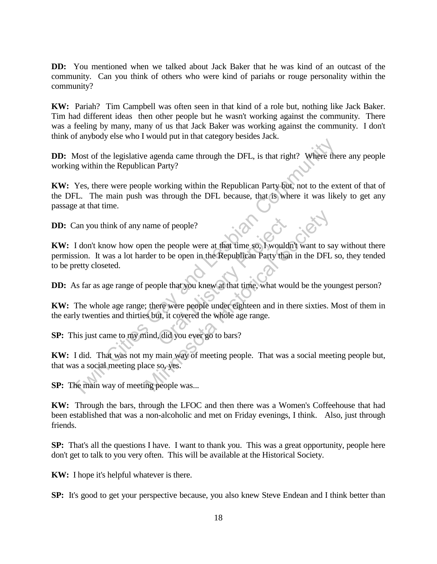**DD:** You mentioned when we talked about Jack Baker that he was kind of an outcast of the community. Can you think of others who were kind of pariahs or rouge personality within the community?

**KW:** Pariah? Tim Campbell was often seen in that kind of a role but, nothing like Jack Baker. Tim had different ideas then other people but he wasn't working against the community. There was a feeling by many, many of us that Jack Baker was working against the community. I don't think of anybody else who I would put in that category besides Jack.

**DD:** Most of the legislative agenda came through the DFL, is that right? Where there any people working within the Republican Party?

**KW:** Yes, there were people working within the Republican Party but, not to the extent of that of the DFL. The main push was through the DFL because, that is where it was likely to get any passage at that time. Most of the legislative agenda came through the DFL, is that right? Where the gas within the Republican Party?<br>
Yes, there were people working within the Republican Party but, not to the exert.<br>
H.C. The main push was thro

**DD:** Can you think of any name of people?

**KW:** I don't know how open the people were at that time so, I wouldn't want to say without there permission. It was a lot harder to be open in the Republican Party than in the DFL so, they tended to be pretty closeted. e of people?<br>
the people were at that time so, I would<br>
to be open in the Republican Party than<br>
ple that you knew at that time, what wou<br>
ere were people under eighteen and in th<br>
ut, it covered the whole age range.<br>
l, d name of people?<br>
en the people were at that time so, I wouldn't want to sacked to be open in the Republican Party than in the DFL<br>
people that you knew at that time, what would be the yo<br>
; there were people under eighteen

**DD:** As far as age range of people that you knew at that time, what would be the youngest person?

**KW:** The whole age range; there were people under eighteen and in there sixties. Most of them in the early twenties and thirties but, it covered the whole age range.

**SP:** This just came to my mind, did you ever go to bars?

**KW:** I did. That was not my main way of meeting people. That was a social meeting people but, that was a social meeting place so, yes.

**SP:** The main way of meeting people was...

**KW:** Through the bars, through the LFOC and then there was a Women's Coffeehouse that had been established that was a non-alcoholic and met on Friday evenings, I think. Also, just through friends.

**SP:** That's all the questions I have. I want to thank you. This was a great opportunity, people here don't get to talk to you very often. This will be available at the Historical Society.

**KW:** I hope it's helpful whatever is there.

**SP:** It's good to get your perspective because, you also knew Steve Endean and I think better than